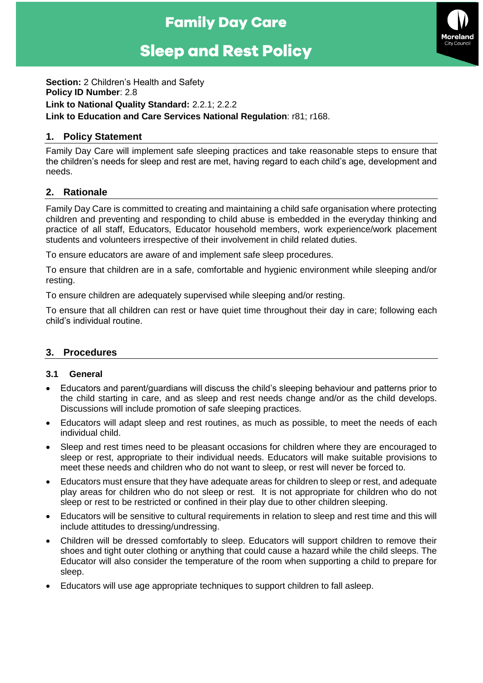## **Family Day Care**

# **Sleep and Rest Policy**



**Section:** 2 Children's Health and Safety **Policy ID Number**: 2.8 **Link to National Quality Standard:** 2.2.1; 2.2.2 **Link to Education and Care Services National Regulation**: r81; r168.

## **1. Policy Statement**

Family Day Care will implement safe sleeping practices and take reasonable steps to ensure that the children's needs for sleep and rest are met, having regard to each child's age, development and needs.

## **2. Rationale**

Family Day Care is committed to creating and maintaining a child safe organisation where protecting children and preventing and responding to child abuse is embedded in the everyday thinking and practice of all staff, Educators, Educator household members, work experience/work placement students and volunteers irrespective of their involvement in child related duties.

To ensure educators are aware of and implement safe sleep procedures.

To ensure that children are in a safe, comfortable and hygienic environment while sleeping and/or resting.

To ensure children are adequately supervised while sleeping and/or resting.

To ensure that all children can rest or have quiet time throughout their day in care; following each child's individual routine.

## **3. Procedures**

#### **3.1 General**

- Educators and parent/guardians will discuss the child's sleeping behaviour and patterns prior to the child starting in care, and as sleep and rest needs change and/or as the child develops. Discussions will include promotion of safe sleeping practices.
- Educators will adapt sleep and rest routines, as much as possible, to meet the needs of each individual child.
- Sleep and rest times need to be pleasant occasions for children where they are encouraged to sleep or rest, appropriate to their individual needs. Educators will make suitable provisions to meet these needs and children who do not want to sleep, or rest will never be forced to.
- Educators must ensure that they have adequate areas for children to sleep or rest, and adequate play areas for children who do not sleep or rest. It is not appropriate for children who do not sleep or rest to be restricted or confined in their play due to other children sleeping.
- Educators will be sensitive to cultural requirements in relation to sleep and rest time and this will include attitudes to dressing/undressing.
- Children will be dressed comfortably to sleep. Educators will support children to remove their shoes and tight outer clothing or anything that could cause a hazard while the child sleeps. The Educator will also consider the temperature of the room when supporting a child to prepare for sleep.
- Educators will use age appropriate techniques to support children to fall asleep.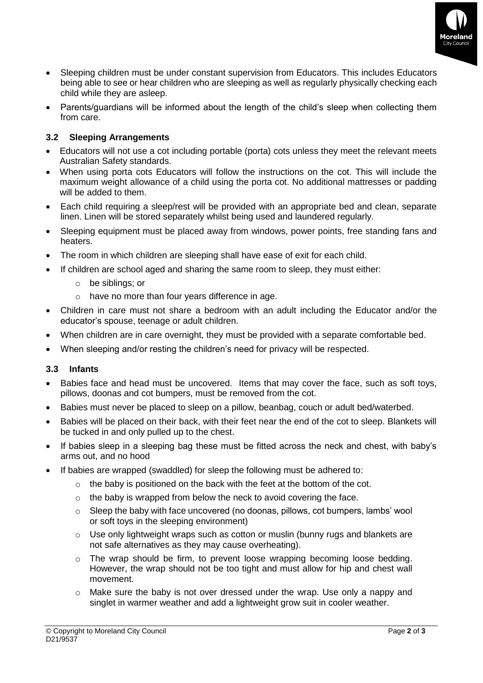

- Sleeping children must be under constant supervision from Educators. This includes Educators being able to see or hear children who are sleeping as well as regularly physically checking each child while they are asleep.
- Parents/guardians will be informed about the length of the child's sleep when collecting them from care.

## **3.2 Sleeping Arrangements**

- Educators will not use a cot including portable (porta) cots unless they meet the relevant meets Australian Safety standards.
- When using porta cots Educators will follow the instructions on the cot. This will include the maximum weight allowance of a child using the porta cot. No additional mattresses or padding will be added to them.
- Each child requiring a sleep/rest will be provided with an appropriate bed and clean, separate linen. Linen will be stored separately whilst being used and laundered regularly.
- Sleeping equipment must be placed away from windows, power points, free standing fans and heaters.
- The room in which children are sleeping shall have ease of exit for each child.
- If children are school aged and sharing the same room to sleep, they must either:
	- o be siblings; or
	- o have no more than four years difference in age.
- Children in care must not share a bedroom with an adult including the Educator and/or the educator's spouse, teenage or adult children.
- When children are in care overnight, they must be provided with a separate comfortable bed.
- When sleeping and/or resting the children's need for privacy will be respected.

#### **3.3 Infants**

- Babies face and head must be uncovered. Items that may cover the face, such as soft toys, pillows, doonas and cot bumpers, must be removed from the cot.
- Babies must never be placed to sleep on a pillow, beanbag, couch or adult bed/waterbed.
- Babies will be placed on their back, with their feet near the end of the cot to sleep. Blankets will be tucked in and only pulled up to the chest.
- If babies sleep in a sleeping bag these must be fitted across the neck and chest, with baby's arms out, and no hood
- If babies are wrapped (swaddled) for sleep the following must be adhered to:
	- $\circ$  the baby is positioned on the back with the feet at the bottom of the cot.
	- $\circ$  the baby is wrapped from below the neck to avoid covering the face.
	- $\circ$  Sleep the baby with face uncovered (no doonas, pillows, cot bumpers, lambs' wool or soft toys in the sleeping environment)
	- $\circ$  Use only lightweight wraps such as cotton or muslin (bunny rugs and blankets are not safe alternatives as they may cause overheating).
	- $\circ$  The wrap should be firm, to prevent loose wrapping becoming loose bedding. However, the wrap should not be too tight and must allow for hip and chest wall movement.
	- $\circ$  Make sure the baby is not over dressed under the wrap. Use only a nappy and singlet in warmer weather and add a lightweight grow suit in cooler weather.